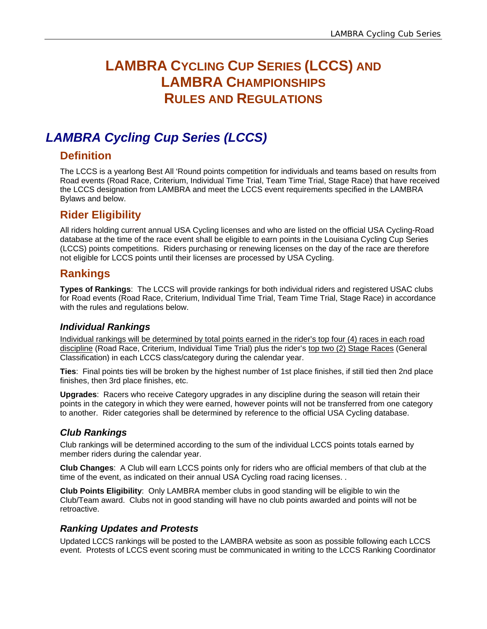# **LAMBRA CYCLING CUP SERIES (LCCS) AND LAMBRA CHAMPIONSHIPS RULES AND REGULATIONS**

# *LAMBRA Cycling Cup Series (LCCS)*

### **Definition**

The LCCS is a yearlong Best All 'Round points competition for individuals and teams based on results from Road events (Road Race, Criterium, Individual Time Trial, Team Time Trial, Stage Race) that have received the LCCS designation from LAMBRA and meet the LCCS event requirements specified in the LAMBRA Bylaws and below.

## **Rider Eligibility**

All riders holding current annual USA Cycling licenses and who are listed on the official USA Cycling-Road database at the time of the race event shall be eligible to earn points in the Louisiana Cycling Cup Series (LCCS) points competitions. Riders purchasing or renewing licenses on the day of the race are therefore not eligible for LCCS points until their licenses are processed by USA Cycling.

## **Rankings**

**Types of Rankings**: The LCCS will provide rankings for both individual riders and registered USAC clubs for Road events (Road Race, Criterium, Individual Time Trial, Team Time Trial, Stage Race) in accordance with the rules and regulations below.

#### *Individual Rankings*

Individual rankings will be determined by total points earned in the rider's top four (4) races in each road discipline (Road Race, Criterium, Individual Time Trial) plus the rider's top two (2) Stage Races (General Classification) in each LCCS class/category during the calendar year.

**Ties**: Final points ties will be broken by the highest number of 1st place finishes, if still tied then 2nd place finishes, then 3rd place finishes, etc.

**Upgrades**: Racers who receive Category upgrades in any discipline during the season will retain their points in the category in which they were earned, however points will not be transferred from one category to another. Rider categories shall be determined by reference to the official USA Cycling database.

### *Club Rankings*

Club rankings will be determined according to the sum of the individual LCCS points totals earned by member riders during the calendar year.

**Club Changes**: A Club will earn LCCS points only for riders who are official members of that club at the time of the event, as indicated on their annual USA Cycling road racing licenses. .

**Club Points Eligibility**: Only LAMBRA member clubs in good standing will be eligible to win the Club/Team award. Clubs not in good standing will have no club points awarded and points will not be retroactive.

### *Ranking Updates and Protests*

Updated LCCS rankings will be posted to the LAMBRA website as soon as possible following each LCCS event. Protests of LCCS event scoring must be communicated in writing to the LCCS Ranking Coordinator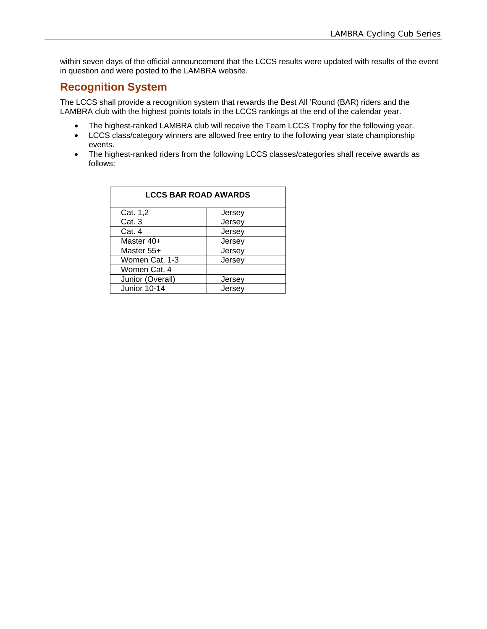within seven days of the official announcement that the LCCS results were updated with results of the event in question and were posted to the LAMBRA website.

### **Recognition System**

The LCCS shall provide a recognition system that rewards the Best All 'Round (BAR) riders and the LAMBRA club with the highest points totals in the LCCS rankings at the end of the calendar year.

- The highest-ranked LAMBRA club will receive the Team LCCS Trophy for the following year.
- LCCS class/category winners are allowed free entry to the following year state championship events.
- The highest-ranked riders from the following LCCS classes/categories shall receive awards as follows:

| <b>LCCS BAR ROAD AWARDS</b> |        |  |  |  |  |
|-----------------------------|--------|--|--|--|--|
| Cat. 1,2                    | Jersey |  |  |  |  |
| Cat. 3                      | Jersey |  |  |  |  |
| Cat. 4                      | Jersey |  |  |  |  |
| Master 40+                  | Jersey |  |  |  |  |
| Master 55+                  | Jersey |  |  |  |  |
| Women Cat. 1-3              | Jersey |  |  |  |  |
| Women Cat. 4                |        |  |  |  |  |
| Junior (Overall)            | Jersey |  |  |  |  |
| Junior 10-14                | Jersev |  |  |  |  |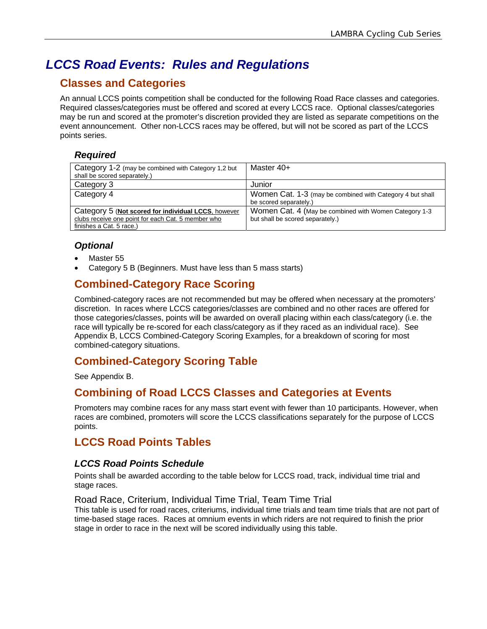# *LCCS Road Events: Rules and Regulations*

## **Classes and Categories**

An annual LCCS points competition shall be conducted for the following Road Race classes and categories. Required classes/categories must be offered and scored at every LCCS race. Optional classes/categories may be run and scored at the promoter's discretion provided they are listed as separate competitions on the event announcement. Other non-LCCS races may be offered, but will not be scored as part of the LCCS points series.

#### *Required*

| Category 1-2 (may be combined with Category 1,2 but                                                                                   | Master 40+                                                                                |
|---------------------------------------------------------------------------------------------------------------------------------------|-------------------------------------------------------------------------------------------|
| shall be scored separately.)                                                                                                          |                                                                                           |
| Category 3                                                                                                                            | Junior                                                                                    |
| Category 4                                                                                                                            | Women Cat. 1-3 (may be combined with Category 4 but shall<br>be scored separately.)       |
| Category 5 (Not scored for individual LCCS, however<br>clubs receive one point for each Cat. 5 member who<br>finishes a Cat. 5 race.) | Women Cat. 4 (May be combined with Women Category 1-3<br>but shall be scored separately.) |

### *Optional*

- Master 55
- Category 5 B (Beginners. Must have less than 5 mass starts)

### **Combined-Category Race Scoring**

Combined-category races are not recommended but may be offered when necessary at the promoters' discretion. In races where LCCS categories/classes are combined and no other races are offered for those categories/classes, points will be awarded on overall placing within each class/category (i.e. the race will typically be re-scored for each class/category as if they raced as an individual race). See Appendix B, LCCS Combined-Category Scoring Examples, for a breakdown of scoring for most combined-category situations.

## **Combined-Category Scoring Table**

See Appendix B.

### **Combining of Road LCCS Classes and Categories at Events**

Promoters may combine races for any mass start event with fewer than 10 participants. However, when races are combined, promoters will score the LCCS classifications separately for the purpose of LCCS points.

## **LCCS Road Points Tables**

### *LCCS Road Points Schedule*

Points shall be awarded according to the table below for LCCS road, track, individual time trial and stage races.

#### Road Race, Criterium, Individual Time Trial, Team Time Trial

This table is used for road races, criteriums, individual time trials and team time trials that are not part of time-based stage races. Races at omnium events in which riders are not required to finish the prior stage in order to race in the next will be scored individually using this table.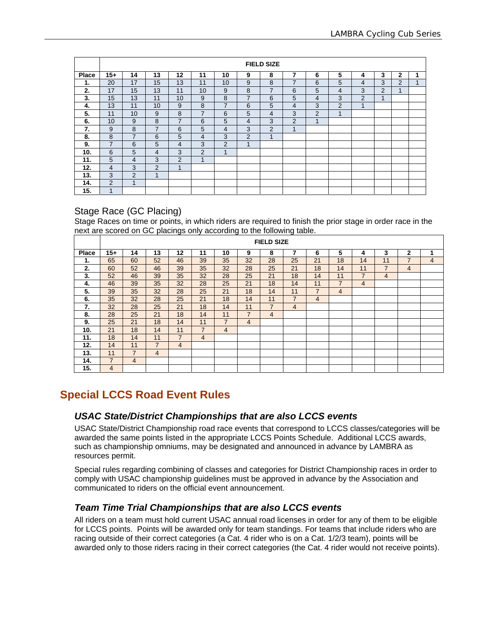|       | <b>FIELD SIZE</b> |                |                |                |                |    |                |                |                |                |                |                |                |                |   |
|-------|-------------------|----------------|----------------|----------------|----------------|----|----------------|----------------|----------------|----------------|----------------|----------------|----------------|----------------|---|
| Place | $15+$             | 14             | 13             | 12             | 11             | 10 | 9              | 8              | 7              | 6              | 5              | 4              | 3              | $\mathbf{2}$   | 1 |
| 1.    | 20                | 17             | 15             | 13             | 11             | 10 | 9              | 8              | $\overline{7}$ | 6              | 5              | 4              | 3              | $\overline{2}$ | 1 |
| 2.    | 17                | 15             | 13             | 11             | 10             | 9  | 8              | 7              | 6              | 5              | 4              | 3              | $\overline{2}$ | 1              |   |
| 3.    | 15                | 13             | 11             | 10             | 9              | 8  | $\overline{7}$ | 6              | 5              | $\overline{4}$ | 3              | $\overline{2}$ | $\overline{A}$ |                |   |
| 4.    | 13                | 11             | 10             | 9              | 8              | 7  | 6              | 5              | $\overline{4}$ | 3              | $\overline{2}$ | $\mathbf{1}$   |                |                |   |
| 5.    | 11                | 10             | 9              | 8              | 7              | 6  | 5              | 4              | 3              | 2              | 4              |                |                |                |   |
| 6.    | 10                | 9              | 8              | $\overline{7}$ | 6              | 5  | 4              | 3              | 2              | $\mathbf 1$    |                |                |                |                |   |
| 7.    | 9                 | 8              | $\overline{7}$ | 6              | 5              | 4  | 3              | $\overline{2}$ | 1              |                |                |                |                |                |   |
| 8.    | 8                 | $\overline{7}$ | 6              | 5              | 4              | 3  | $\overline{2}$ | 1              |                |                |                |                |                |                |   |
| 9.    | $\overline{7}$    | 6              | 5              | 4              | 3              | 2  | $\overline{A}$ |                |                |                |                |                |                |                |   |
| 10.   | 6                 | 5              | $\overline{4}$ | 3              | 2              | 1  |                |                |                |                |                |                |                |                |   |
| 11.   | 5                 | $\overline{4}$ | 3              | $\overline{2}$ | $\overline{A}$ |    |                |                |                |                |                |                |                |                |   |
| 12.   | $\overline{4}$    | 3              | $\overline{2}$ | $\overline{1}$ |                |    |                |                |                |                |                |                |                |                |   |
| 13.   | 3                 | $\overline{2}$ | 1              |                |                |    |                |                |                |                |                |                |                |                |   |
| 14.   | 2                 | 4              |                |                |                |    |                |                |                |                |                |                |                |                |   |
| 15.   | и                 |                |                |                |                |    |                |                |                |                |                |                |                |                |   |

#### Stage Race (GC Placing)

Stage Races on time or points, in which riders are required to finish the prior stage in order race in the next are scored on GC placings only according to the following table.

|       | <b>FIELD SIZE</b> |                |                |                          |                |                |                |                |                |                |                |                |                |                |   |
|-------|-------------------|----------------|----------------|--------------------------|----------------|----------------|----------------|----------------|----------------|----------------|----------------|----------------|----------------|----------------|---|
| Place | 15+               | 14             | 13             | 12                       | 11             | 10             | 9              | 8              | 7              | 6              | 5              | 4              | 3              | $\mathbf{2}$   | 1 |
| 1.    | 65                | 60             | 52             | 46                       | 39             | 35             | 32             | 28             | 25             | 21             | 18             | 14             | 11             | $\overline{7}$ | 4 |
| 2.    | 60                | 52             | 46             | 39                       | 35             | 32             | 28             | 25             | 21             | 18             | 14             | 11             | $\overline{7}$ | $\overline{4}$ |   |
| 3.    | 52                | 46             | 39             | 35                       | 32             | 28             | 25             | 21             | 18             | 14             | 11             | $\overline{7}$ | 4              |                |   |
| 4.    | 46                | 39             | 35             | 32                       | 28             | 25             | 21             | 18             | 14             | 11             | $\overline{7}$ | $\overline{4}$ |                |                |   |
| 5.    | 39                | 35             | 32             | 28                       | 25             | 21             | 18             | 14             | 11             | $\overline{7}$ | 4              |                |                |                |   |
| 6.    | 35                | 32             | 28             | 25                       | 21             | 18             | 14             | 11             | $\overline{7}$ | 4              |                |                |                |                |   |
| 7.    | 32                | 28             | 25             | 21                       | 18             | 14             | 11             | 7              | 4              |                |                |                |                |                |   |
| 8.    | 28                | 25             | 21             | 18                       | 14             | 11             | 7              | $\overline{4}$ |                |                |                |                |                |                |   |
| 9.    | 25                | 21             | 18             | 14                       | 11             | $\overline{7}$ | $\overline{4}$ |                |                |                |                |                |                |                |   |
| 10.   | 21                | 18             | 14             | 11                       | 7              | $\overline{4}$ |                |                |                |                |                |                |                |                |   |
| 11.   | 18                | 14             | 11             | $\overline{\phantom{a}}$ | $\overline{4}$ |                |                |                |                |                |                |                |                |                |   |
| 12.   | 14                | 11             | $\overline{7}$ | 4                        |                |                |                |                |                |                |                |                |                |                |   |
| 13.   | 11                | $\overline{7}$ | $\overline{4}$ |                          |                |                |                |                |                |                |                |                |                |                |   |
| 14.   | $\overline{7}$    | $\overline{4}$ |                |                          |                |                |                |                |                |                |                |                |                |                |   |
| 15.   | 4                 |                |                |                          |                |                |                |                |                |                |                |                |                |                |   |

### **Special LCCS Road Event Rules**

#### *USAC State/District Championships that are also LCCS events*

USAC State/District Championship road race events that correspond to LCCS classes/categories will be awarded the same points listed in the appropriate LCCS Points Schedule. Additional LCCS awards, such as championship omniums, may be designated and announced in advance by LAMBRA as resources permit.

Special rules regarding combining of classes and categories for District Championship races in order to comply with USAC championship guidelines must be approved in advance by the Association and communicated to riders on the official event announcement.

#### *Team Time Trial Championships that are also LCCS events*

All riders on a team must hold current USAC annual road licenses in order for any of them to be eligible for LCCS points. Points will be awarded only for team standings. For teams that include riders who are racing outside of their correct categories (a Cat. 4 rider who is on a Cat. 1/2/3 team), points will be awarded only to those riders racing in their correct categories (the Cat. 4 rider would not receive points).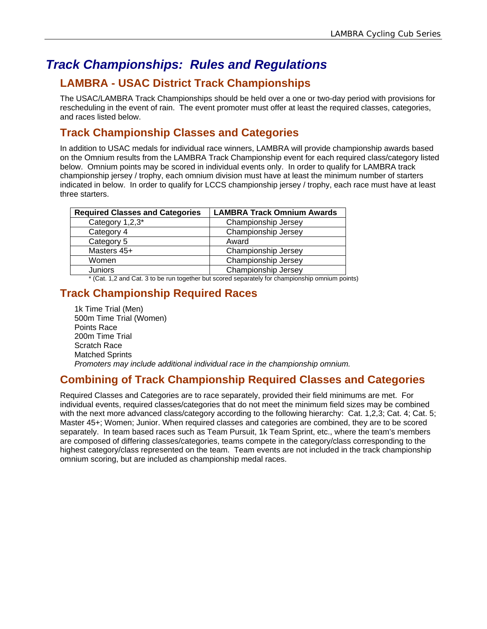# *Track Championships: Rules and Regulations*

## **LAMBRA - USAC District Track Championships**

The USAC/LAMBRA Track Championships should be held over a one or two-day period with provisions for rescheduling in the event of rain. The event promoter must offer at least the required classes, categories, and races listed below.

## **Track Championship Classes and Categories**

In addition to USAC medals for individual race winners, LAMBRA will provide championship awards based on the Omnium results from the LAMBRA Track Championship event for each required class/category listed below. Omnium points may be scored in individual events only. In order to qualify for LAMBRA track championship jersey / trophy, each omnium division must have at least the minimum number of starters indicated in below. In order to qualify for LCCS championship jersey / trophy, each race must have at least three starters.

| <b>Required Classes and Categories</b> | <b>LAMBRA Track Omnium Awards</b> |
|----------------------------------------|-----------------------------------|
| Category 1,2,3*                        | Championship Jersey               |
| Category 4                             | Championship Jersey               |
| Category 5                             | Award                             |
| Masters 45+                            | Championship Jersey               |
| Women                                  | Championship Jersey               |
| Juniors                                | Championship Jersey               |

\* (Cat. 1,2 and Cat. 3 to be run together but scored separately for championship omnium points)

## **Track Championship Required Races**

1k Time Trial (Men) 500m Time Trial (Women) Points Race 200m Time Trial Scratch Race Matched Sprints *Promoters may include additional individual race in the championship omnium.* 

### **Combining of Track Championship Required Classes and Categories**

Required Classes and Categories are to race separately, provided their field minimums are met. For individual events, required classes/categories that do not meet the minimum field sizes may be combined with the next more advanced class/category according to the following hierarchy: Cat. 1,2,3; Cat. 4; Cat. 5; Master 45+; Women; Junior. When required classes and categories are combined, they are to be scored separately. In team based races such as Team Pursuit, 1k Team Sprint, etc., where the team's members are composed of differing classes/categories, teams compete in the category/class corresponding to the highest category/class represented on the team. Team events are not included in the track championship omnium scoring, but are included as championship medal races.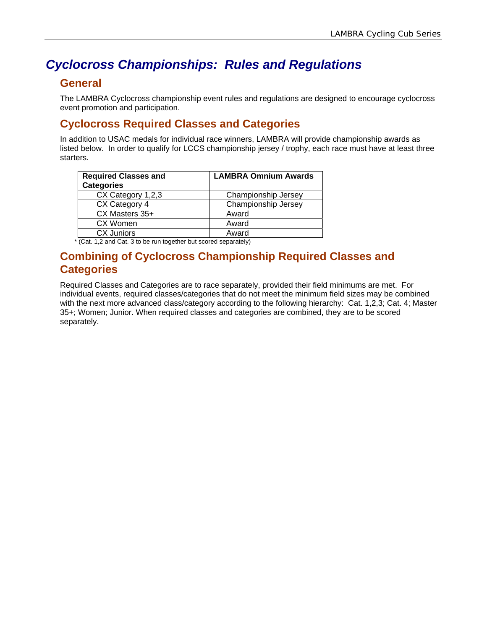# *Cyclocross Championships: Rules and Regulations*

### **General**

The LAMBRA Cyclocross championship event rules and regulations are designed to encourage cyclocross event promotion and participation.

## **Cyclocross Required Classes and Categories**

In addition to USAC medals for individual race winners, LAMBRA will provide championship awards as listed below. In order to qualify for LCCS championship jersey / trophy, each race must have at least three starters.

| <b>Required Classes and</b><br><b>Categories</b> | <b>LAMBRA Omnium Awards</b> |
|--------------------------------------------------|-----------------------------|
| CX Category 1,2,3                                | Championship Jersey         |
| CX Category 4                                    | Championship Jersey         |
| CX Masters 35+                                   | Award                       |
| CX Women                                         | Award                       |
| <b>CX Juniors</b>                                | Award                       |

\* (Cat. 1,2 and Cat. 3 to be run together but scored separately)

### **Combining of Cyclocross Championship Required Classes and Categories**

Required Classes and Categories are to race separately, provided their field minimums are met. For individual events, required classes/categories that do not meet the minimum field sizes may be combined with the next more advanced class/category according to the following hierarchy: Cat. 1,2,3; Cat. 4; Master 35+; Women; Junior. When required classes and categories are combined, they are to be scored separately.